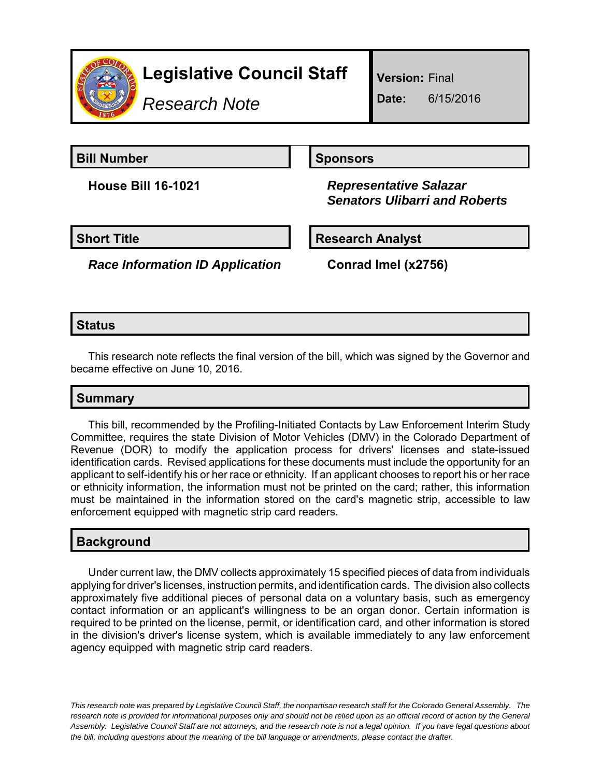

*Research Note*

**Version:** Final

**Date:** 6/15/2016

**Bill Number Sponsors** 

**House Bill 16-1021** *Representative Salazar Senators Ulibarri and Roberts*

**Short Title Community Community Community Research Analyst** 

*Race Information ID Application* **Conrad Imel (x2756)**

### **Status**

This research note reflects the final version of the bill, which was signed by the Governor and became effective on June 10, 2016.

# **Summary**

This bill, recommended by the Profiling-Initiated Contacts by Law Enforcement Interim Study Committee, requires the state Division of Motor Vehicles (DMV) in the Colorado Department of Revenue (DOR) to modify the application process for drivers' licenses and state-issued identification cards. Revised applications for these documents must include the opportunity for an applicant to self-identify his or her race or ethnicity. If an applicant chooses to report his or her race or ethnicity information, the information must not be printed on the card; rather, this information must be maintained in the information stored on the card's magnetic strip, accessible to law enforcement equipped with magnetic strip card readers.

# **Background**

Under current law, the DMV collects approximately 15 specified pieces of data from individuals applying for driver's licenses, instruction permits, and identification cards. The division also collects approximately five additional pieces of personal data on a voluntary basis, such as emergency contact information or an applicant's willingness to be an organ donor. Certain information is required to be printed on the license, permit, or identification card, and other information is stored in the division's driver's license system, which is available immediately to any law enforcement agency equipped with magnetic strip card readers.

*This research note was prepared by Legislative Council Staff, the nonpartisan research staff for the Colorado General Assembly. The research note is provided for informational purposes only and should not be relied upon as an official record of action by the General Assembly. Legislative Council Staff are not attorneys, and the research note is not a legal opinion. If you have legal questions about the bill, including questions about the meaning of the bill language or amendments, please contact the drafter.*